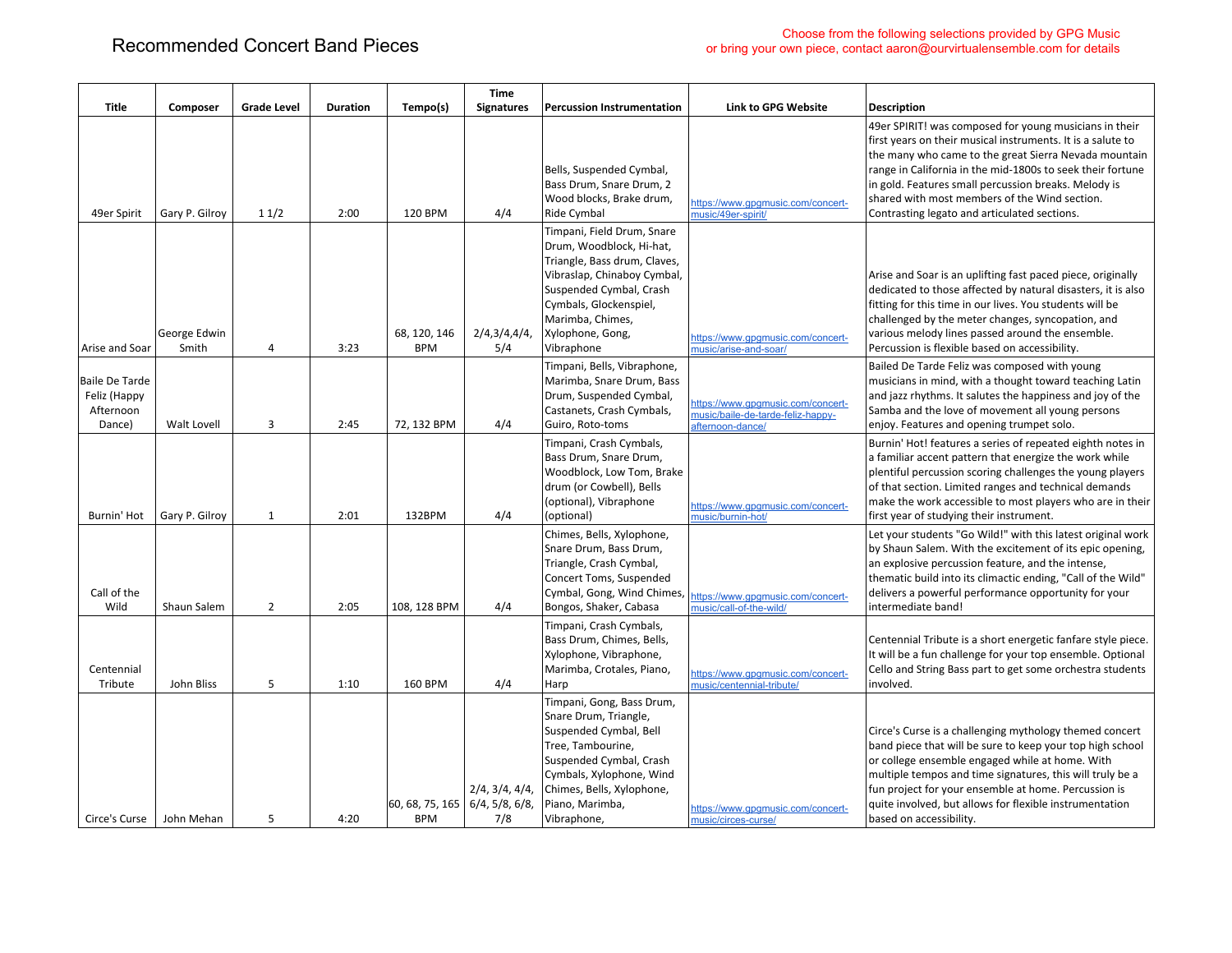|                                                              |                       |                    |                 |                                                             | Time                  |                                                                                                                                                                                                                                  |                                                                                            |                                                                                                                                                                                                                                                                                                                                                                                                       |
|--------------------------------------------------------------|-----------------------|--------------------|-----------------|-------------------------------------------------------------|-----------------------|----------------------------------------------------------------------------------------------------------------------------------------------------------------------------------------------------------------------------------|--------------------------------------------------------------------------------------------|-------------------------------------------------------------------------------------------------------------------------------------------------------------------------------------------------------------------------------------------------------------------------------------------------------------------------------------------------------------------------------------------------------|
| Title                                                        | Composer              | <b>Grade Level</b> | <b>Duration</b> | Tempo(s)                                                    | <b>Signatures</b>     | <b>Percussion Instrumentation</b>                                                                                                                                                                                                | <b>Link to GPG Website</b>                                                                 | <b>Description</b>                                                                                                                                                                                                                                                                                                                                                                                    |
| 49er Spirit                                                  | Gary P. Gilroy        | 11/2               | 2:00            | 120 BPM                                                     | 4/4                   | Bells, Suspended Cymbal,<br>Bass Drum, Snare Drum, 2<br>Wood blocks, Brake drum,<br>Ride Cymbal                                                                                                                                  | https://www.gpgmusic.com/concert-<br>music/49er-spirit/                                    | 49er SPIRIT! was composed for young musicians in their<br>first years on their musical instruments. It is a salute to<br>the many who came to the great Sierra Nevada mountain<br>range in California in the mid-1800s to seek their fortune<br>in gold. Features small percussion breaks. Melody is<br>shared with most members of the Wind section.<br>Contrasting legato and articulated sections. |
| Arise and Soar                                               | George Edwin<br>Smith | 4                  | 3:23            | 68, 120, 146<br><b>BPM</b>                                  | 2/4,3/4,4/4,<br>5/4   | Timpani, Field Drum, Snare<br>Drum, Woodblock, Hi-hat,<br>Triangle, Bass drum, Claves,<br>Vibraslap, Chinaboy Cymbal,<br>Suspended Cymbal, Crash<br>Cymbals, Glockenspiel,<br>Marimba, Chimes,<br>Xylophone, Gong,<br>Vibraphone | https://www.gpgmusic.com/concert-<br>music/arise-and-soar/                                 | Arise and Soar is an uplifting fast paced piece, originally<br>dedicated to those affected by natural disasters, it is also<br>fitting for this time in our lives. You students will be<br>challenged by the meter changes, syncopation, and<br>various melody lines passed around the ensemble.<br>Percussion is flexible based on accessibility.                                                    |
| <b>Baile De Tarde</b><br>Feliz (Happy<br>Afternoon<br>Dance) | Walt Lovell           | $\overline{3}$     | 2:45            | 72, 132 BPM                                                 | 4/4                   | Timpani, Bells, Vibraphone,<br>Marimba, Snare Drum, Bass<br>Drum, Suspended Cymbal,<br>Castanets, Crash Cymbals,<br>Guiro, Roto-toms                                                                                             | https://www.gpgmusic.com/concert-<br>music/baile-de-tarde-feliz-happy-<br>afternoon-dance/ | Bailed De Tarde Feliz was composed with young<br>musicians in mind, with a thought toward teaching Latin<br>and jazz rhythms. It salutes the happiness and joy of the<br>Samba and the love of movement all young persons<br>enjoy. Features and opening trumpet solo.                                                                                                                                |
| Burnin' Hot                                                  | Gary P. Gilroy        | $\mathbf{1}$       | 2:01            | 132BPM                                                      | 4/4                   | Timpani, Crash Cymbals,<br>Bass Drum, Snare Drum,<br>Woodblock, Low Tom, Brake<br>drum (or Cowbell), Bells<br>(optional), Vibraphone<br>(optional)                                                                               | https://www.gpgmusic.com/concert-<br>music/burnin-hot/                                     | Burnin' Hot! features a series of repeated eighth notes in<br>a familiar accent pattern that energize the work while<br>plentiful percussion scoring challenges the young players<br>of that section. Limited ranges and technical demands<br>make the work accessible to most players who are in their<br>first year of studying their instrument.                                                   |
| Call of the<br>Wild                                          | Shaun Salem           | $\overline{2}$     | 2:05            | 108, 128 BPM                                                | 4/4                   | Chimes, Bells, Xylophone,<br>Snare Drum, Bass Drum,<br>Triangle, Crash Cymbal,<br>Concert Toms, Suspended<br>Cymbal, Gong, Wind Chimes,<br>Bongos, Shaker, Cabasa                                                                | https://www.gpgmusic.com/concert-<br>music/call-of-the-wild/                               | Let your students "Go Wild!" with this latest original work<br>by Shaun Salem. With the excitement of its epic opening,<br>an explosive percussion feature, and the intense,<br>thematic build into its climactic ending, "Call of the Wild"<br>delivers a powerful performance opportunity for your<br>intermediate band!                                                                            |
| Centennial<br>Tribute                                        | John Bliss            | 5                  | 1:10            | 160 BPM                                                     | 4/4                   | Timpani, Crash Cymbals,<br>Bass Drum, Chimes, Bells,<br>Xylophone, Vibraphone,<br>Marimba, Crotales, Piano,<br>Harp                                                                                                              | https://www.gpgmusic.com/concert-<br>music/centennial-tribute/                             | Centennial Tribute is a short energetic fanfare style piece.<br>It will be a fun challenge for your top ensemble. Optional<br>Cello and String Bass part to get some orchestra students<br>involved.                                                                                                                                                                                                  |
| Circe's Curse                                                | John Mehan            | 5                  | 4:20            | $\left 60, 68, 75, 165\right $ 6/4, 5/8, 6/8,<br><b>BPM</b> | 2/4, 3/4, 4/4,<br>7/8 | Timpani, Gong, Bass Drum,<br>Snare Drum, Triangle,<br>Suspended Cymbal, Bell<br>Tree, Tambourine,<br>Suspended Cymbal, Crash<br>Cymbals, Xylophone, Wind<br>Chimes, Bells, Xylophone,<br>Piano, Marimba,<br>Vibraphone,          | https://www.gpgmusic.com/concert-<br>music/circes-curse/                                   | Circe's Curse is a challenging mythology themed concert<br>band piece that will be sure to keep your top high school<br>or college ensemble engaged while at home. With<br>multiple tempos and time signatures, this will truly be a<br>fun project for your ensemble at home. Percussion is<br>quite involved, but allows for flexible instrumentation<br>based on accessibility.                    |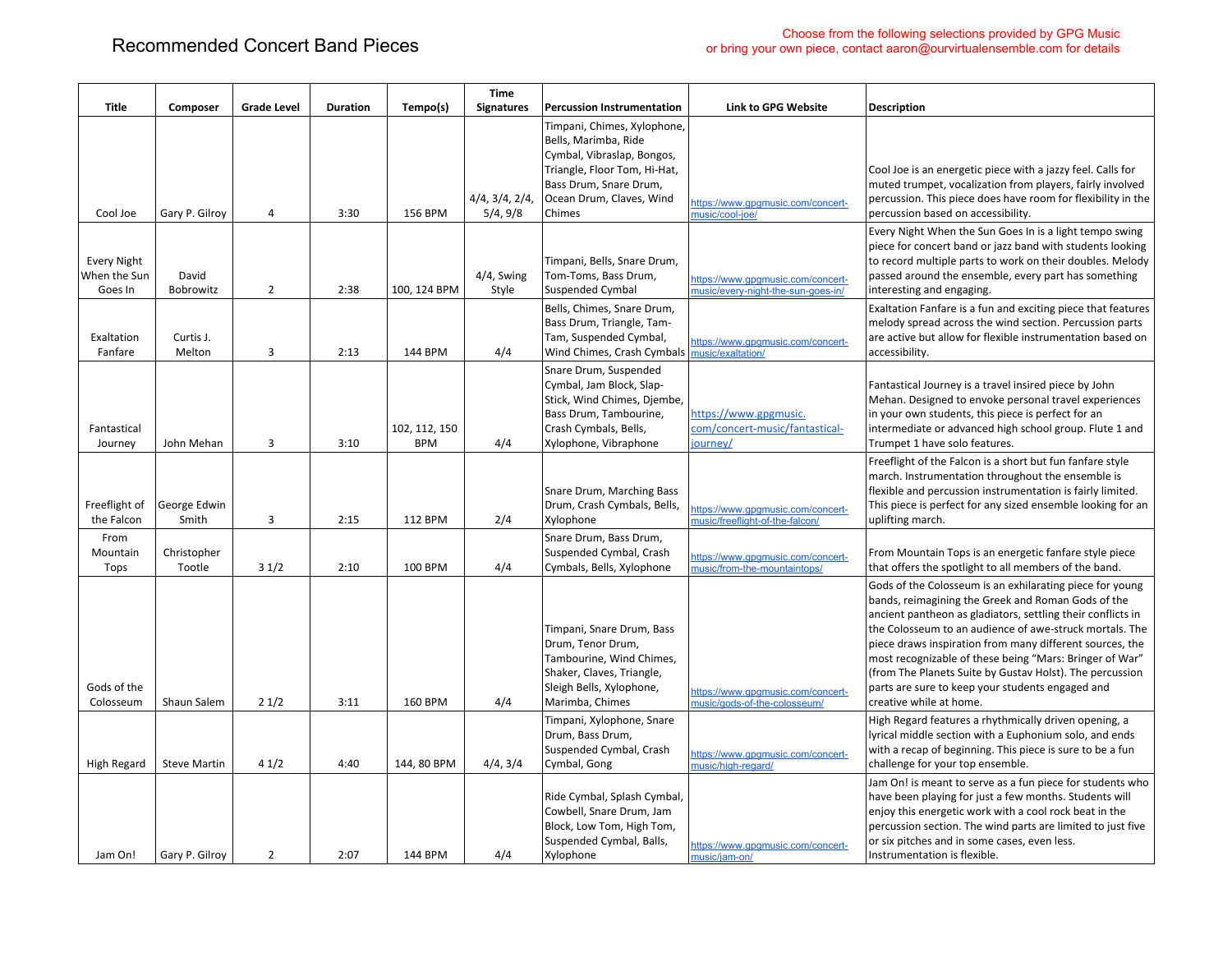|                                               |                       |                    |                 |                             | Time                       |                                                                                                                                                                                   |                                                                         |                                                                                                                                                                                                                                                                                                                                                                                                                                                                                                            |
|-----------------------------------------------|-----------------------|--------------------|-----------------|-----------------------------|----------------------------|-----------------------------------------------------------------------------------------------------------------------------------------------------------------------------------|-------------------------------------------------------------------------|------------------------------------------------------------------------------------------------------------------------------------------------------------------------------------------------------------------------------------------------------------------------------------------------------------------------------------------------------------------------------------------------------------------------------------------------------------------------------------------------------------|
| Title                                         | Composer              | <b>Grade Level</b> | <b>Duration</b> | Tempo(s)                    | <b>Signatures</b>          | <b>Percussion Instrumentation</b>                                                                                                                                                 | <b>Link to GPG Website</b>                                              | <b>Description</b>                                                                                                                                                                                                                                                                                                                                                                                                                                                                                         |
| Cool Joe                                      | Gary P. Gilroy        | 4                  | 3:30            | 156 BPM                     | 4/4, 3/4, 2/4,<br>5/4, 9/8 | Timpani, Chimes, Xylophone,<br>Bells, Marimba, Ride<br>Cymbal, Vibraslap, Bongos,<br>Triangle, Floor Tom, Hi-Hat,<br>Bass Drum, Snare Drum,<br>Ocean Drum, Claves, Wind<br>Chimes | https://www.gpgmusic.com/concert-<br>music/cool-joe/                    | Cool Joe is an energetic piece with a jazzy feel. Calls for<br>muted trumpet, vocalization from players, fairly involved<br>percussion. This piece does have room for flexibility in the<br>percussion based on accessibility.                                                                                                                                                                                                                                                                             |
| <b>Every Night</b><br>When the Sun<br>Goes In | David<br>Bobrowitz    | $\overline{2}$     | 2:38            | 100, 124 BPM                | 4/4, Swing<br>Style        | Timpani, Bells, Snare Drum,<br>Tom-Toms, Bass Drum,<br><b>Suspended Cymbal</b>                                                                                                    | https://www.gpgmusic.com/concert-<br>music/every-night-the-sun-goes-in/ | Every Night When the Sun Goes In is a light tempo swing<br>piece for concert band or jazz band with students looking<br>to record multiple parts to work on their doubles. Melody<br>passed around the ensemble, every part has something<br>interesting and engaging.                                                                                                                                                                                                                                     |
| Exaltation<br>Fanfare                         | Curtis J.<br>Melton   | $\overline{3}$     | 2:13            | 144 BPM                     | 4/4                        | Bells, Chimes, Snare Drum,<br>Bass Drum, Triangle, Tam-<br>Tam, Suspended Cymbal,<br>Wind Chimes, Crash Cymbals                                                                   | https://www.gpgmusic.com/concert-<br>music/exaltation/                  | Exaltation Fanfare is a fun and exciting piece that features<br>melody spread across the wind section. Percussion parts<br>are active but allow for flexible instrumentation based on<br>accessibility.                                                                                                                                                                                                                                                                                                    |
| Fantastical<br>Journey                        | John Mehan            | $\overline{3}$     | 3:10            | 102, 112, 150<br><b>BPM</b> | 4/4                        | Snare Drum, Suspended<br>Cymbal, Jam Block, Slap-<br>Stick, Wind Chimes, Djembe,<br>Bass Drum, Tambourine,<br>Crash Cymbals, Bells,<br>Xylophone, Vibraphone                      | https://www.gpgmusic.<br>com/concert-music/fantastical-<br>journey/     | Fantastical Journey is a travel insired piece by John<br>Mehan. Designed to envoke personal travel experiences<br>in your own students, this piece is perfect for an<br>intermediate or advanced high school group. Flute 1 and<br>Trumpet 1 have solo features.                                                                                                                                                                                                                                           |
| Freeflight of<br>the Falcon                   | George Edwin<br>Smith | 3                  | 2:15            | 112 BPM                     | 2/4                        | Snare Drum, Marching Bass<br>Drum, Crash Cymbals, Bells,<br>Xylophone                                                                                                             | https://www.gpgmusic.com/concert-<br>music/freeflight-of-the-falcon/    | Freeflight of the Falcon is a short but fun fanfare style<br>march. Instrumentation throughout the ensemble is<br>flexible and percussion instrumentation is fairly limited.<br>This piece is perfect for any sized ensemble looking for an<br>uplifting march.                                                                                                                                                                                                                                            |
| From<br>Mountain<br>Tops                      | Christopher<br>Tootle | 31/2               | 2:10            | 100 BPM                     | 4/4                        | Snare Drum, Bass Drum,<br>Suspended Cymbal, Crash<br>Cymbals, Bells, Xylophone                                                                                                    | https://www.gpgmusic.com/concert-<br>music/from-the-mountaintops/       | From Mountain Tops is an energetic fanfare style piece<br>that offers the spotlight to all members of the band.                                                                                                                                                                                                                                                                                                                                                                                            |
| Gods of the<br>Colosseum                      | Shaun Salem           | 21/2               | 3:11            | 160 BPM                     | 4/4                        | Timpani, Snare Drum, Bass<br>Drum, Tenor Drum,<br>Tambourine, Wind Chimes,<br>Shaker, Claves, Triangle,<br>Sleigh Bells, Xylophone,<br>Marimba, Chimes                            | https://www.gpgmusic.com/concert-<br>music/gods-of-the-colosseum/       | Gods of the Colosseum is an exhilarating piece for young<br>bands, reimagining the Greek and Roman Gods of the<br>ancient pantheon as gladiators, settling their conflicts in<br>the Colosseum to an audience of awe-struck mortals. The<br>piece draws inspiration from many different sources, the<br>most recognizable of these being "Mars: Bringer of War"<br>(from The Planets Suite by Gustav Holst). The percussion<br>parts are sure to keep your students engaged and<br>creative while at home. |
| High Regard                                   | <b>Steve Martin</b>   | 41/2               | 4:40            | 144, 80 BPM                 | 4/4, 3/4                   | Timpani, Xylophone, Snare<br>Drum, Bass Drum,<br>Suspended Cymbal, Crash<br>Cymbal, Gong                                                                                          | https://www.gpgmusic.com/concert-<br>music/high-regard/                 | High Regard features a rhythmically driven opening, a<br>lyrical middle section with a Euphonium solo, and ends<br>with a recap of beginning. This piece is sure to be a fun<br>challenge for your top ensemble.                                                                                                                                                                                                                                                                                           |
| Jam On!                                       | Gary P. Gilroy        | $\overline{2}$     | 2:07            | 144 BPM                     | 4/4                        | Ride Cymbal, Splash Cymbal,<br>Cowbell, Snare Drum, Jam<br>Block, Low Tom, High Tom,<br>Suspended Cymbal, Balls,<br>Xylophone                                                     | https://www.gpgmusic.com/concert-<br>music/jam-on/                      | Jam On! is meant to serve as a fun piece for students who<br>have been playing for just a few months. Students will<br>enjoy this energetic work with a cool rock beat in the<br>percussion section. The wind parts are limited to just five<br>or six pitches and in some cases, even less.<br>Instrumentation is flexible.                                                                                                                                                                               |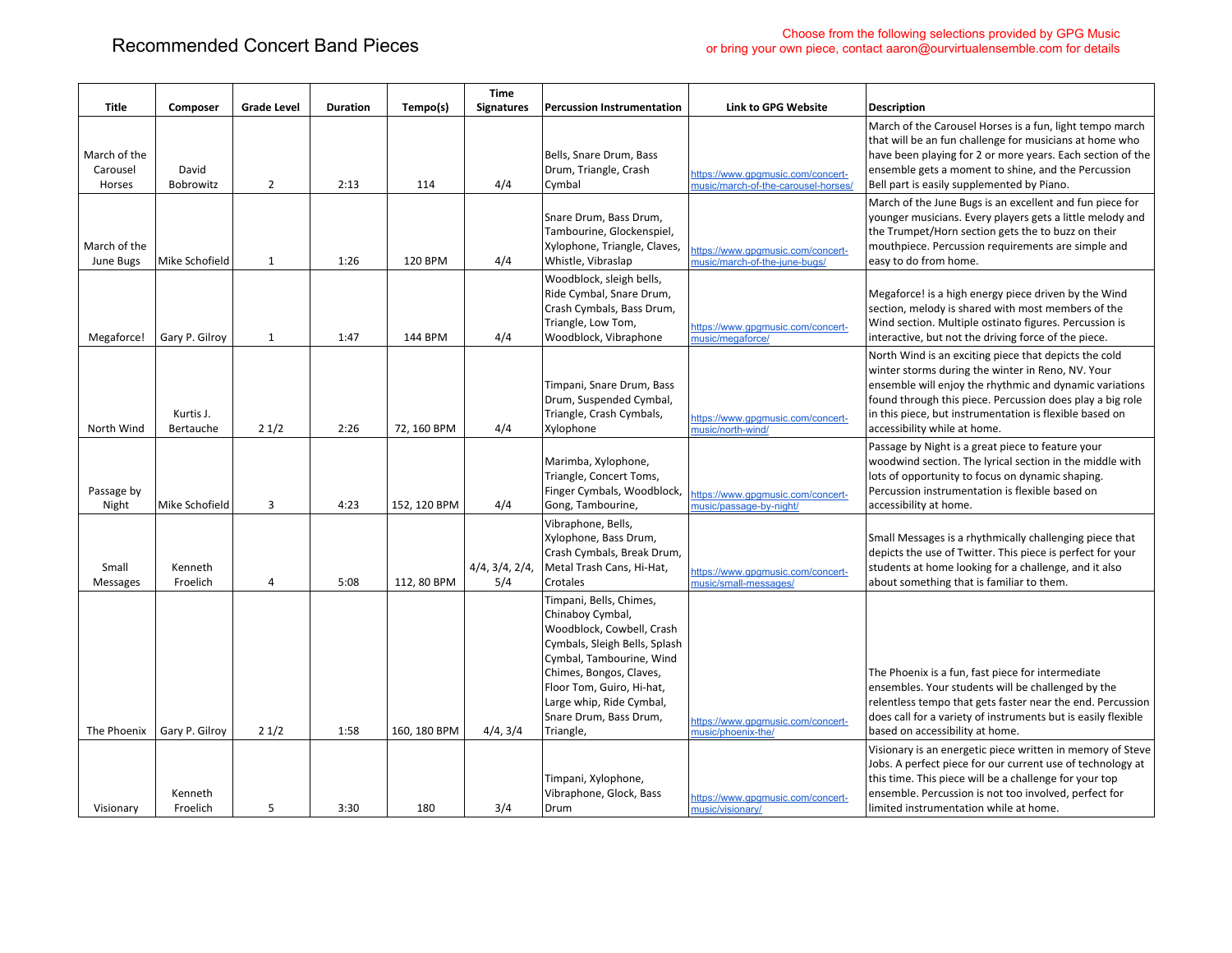|                                    |                        |                    |                 |              | <b>Time</b>           |                                                                                                                                                                                                                                                                  |                                                                          |                                                                                                                                                                                                                                                                                                                               |
|------------------------------------|------------------------|--------------------|-----------------|--------------|-----------------------|------------------------------------------------------------------------------------------------------------------------------------------------------------------------------------------------------------------------------------------------------------------|--------------------------------------------------------------------------|-------------------------------------------------------------------------------------------------------------------------------------------------------------------------------------------------------------------------------------------------------------------------------------------------------------------------------|
| Title                              | Composer               | <b>Grade Level</b> | <b>Duration</b> | Tempo(s)     | <b>Signatures</b>     | <b>Percussion Instrumentation</b>                                                                                                                                                                                                                                | <b>Link to GPG Website</b>                                               | Description                                                                                                                                                                                                                                                                                                                   |
| March of the<br>Carousel<br>Horses | David<br>Bobrowitz     | $\overline{2}$     | 2:13            | 114          | 4/4                   | Bells, Snare Drum, Bass<br>Drum, Triangle, Crash<br>Cvmbal                                                                                                                                                                                                       | https://www.gpgmusic.com/concert-<br>music/march-of-the-carousel-horses/ | March of the Carousel Horses is a fun, light tempo march<br>that will be an fun challenge for musicians at home who<br>have been playing for 2 or more years. Each section of the<br>ensemble gets a moment to shine, and the Percussion<br>Bell part is easily supplemented by Piano.                                        |
| March of the<br>June Bugs          | Mike Schofield         | 1                  | 1:26            | 120 BPM      | 4/4                   | Snare Drum, Bass Drum,<br>Tambourine, Glockenspiel,<br>Xylophone, Triangle, Claves,<br>Whistle, Vibraslap                                                                                                                                                        | https://www.gpgmusic.com/concert-<br>music/march-of-the-june-bugs/       | March of the June Bugs is an excellent and fun piece for<br>younger musicians. Every players gets a little melody and<br>the Trumpet/Horn section gets the to buzz on their<br>mouthpiece. Percussion requirements are simple and<br>easy to do from home.                                                                    |
| Megaforce!                         | Gary P. Gilroy         | 1                  | 1:47            | 144 BPM      | 4/4                   | Woodblock, sleigh bells,<br>Ride Cymbal, Snare Drum,<br>Crash Cymbals, Bass Drum,<br>Triangle, Low Tom,<br>Woodblock, Vibraphone                                                                                                                                 | https://www.gpgmusic.com/concert-<br>music/megaforce/                    | Megaforce! is a high energy piece driven by the Wind<br>section, melody is shared with most members of the<br>Wind section. Multiple ostinato figures. Percussion is<br>interactive, but not the driving force of the piece.                                                                                                  |
| North Wind                         | Kurtis J.<br>Bertauche | 21/2               | 2:26            | 72, 160 BPM  | 4/4                   | Timpani, Snare Drum, Bass<br>Drum, Suspended Cymbal,<br>Triangle, Crash Cymbals,<br>Xylophone                                                                                                                                                                    | https://www.gpgmusic.com/concert-<br>music/north-wind/                   | North Wind is an exciting piece that depicts the cold<br>winter storms during the winter in Reno, NV. Your<br>ensemble will enjoy the rhythmic and dynamic variations<br>found through this piece. Percussion does play a big role<br>in this piece, but instrumentation is flexible based on<br>accessibility while at home. |
| Passage by<br>Night                | Mike Schofield         | 3                  | 4:23            | 152, 120 BPM | 4/4                   | Marimba, Xylophone,<br>Triangle, Concert Toms,<br>Finger Cymbals, Woodblock,<br>Gong, Tambourine,                                                                                                                                                                | https://www.gpgmusic.com/concert-<br>music/passage-by-night/             | Passage by Night is a great piece to feature your<br>woodwind section. The lyrical section in the middle with<br>lots of opportunity to focus on dynamic shaping.<br>Percussion instrumentation is flexible based on<br>accessibility at home.                                                                                |
| Small<br><b>Messages</b>           | Kenneth<br>Froelich    | 4                  | 5:08            | 112, 80 BPM  | 4/4, 3/4, 2/4,<br>5/4 | Vibraphone, Bells,<br>Xylophone, Bass Drum,<br>Crash Cymbals, Break Drum,<br>Metal Trash Cans, Hi-Hat,<br>Crotales                                                                                                                                               | https://www.gpgmusic.com/concert-<br>music/small-messages/               | Small Messages is a rhythmically challenging piece that<br>depicts the use of Twitter. This piece is perfect for your<br>students at home looking for a challenge, and it also<br>about something that is familiar to them.                                                                                                   |
| The Phoenix                        | Gary P. Gilroy         | 21/2               | 1:58            | 160, 180 BPM | 4/4, 3/4              | Timpani, Bells, Chimes,<br>Chinaboy Cymbal,<br>Woodblock, Cowbell, Crash<br>Cymbals, Sleigh Bells, Splash<br>Cymbal, Tambourine, Wind<br>Chimes, Bongos, Claves,<br>Floor Tom, Guiro, Hi-hat,<br>Large whip, Ride Cymbal,<br>Snare Drum, Bass Drum,<br>Triangle, | https://www.gpgmusic.com/concert-<br>music/phoenix-the/                  | The Phoenix is a fun, fast piece for intermediate<br>ensembles. Your students will be challenged by the<br>relentless tempo that gets faster near the end. Percussion<br>does call for a variety of instruments but is easily flexible<br>based on accessibility at home.                                                     |
| Visionary                          | Kenneth<br>Froelich    | 5                  | 3:30            | 180          | 3/4                   | Timpani, Xylophone,<br>Vibraphone, Glock, Bass<br>Drum                                                                                                                                                                                                           | https://www.gpgmusic.com/concert-<br>music/visionary/                    | Visionary is an energetic piece written in memory of Steve<br>Jobs. A perfect piece for our current use of technology at<br>this time. This piece will be a challenge for your top<br>ensemble. Percussion is not too involved, perfect for<br>limited instrumentation while at home.                                         |